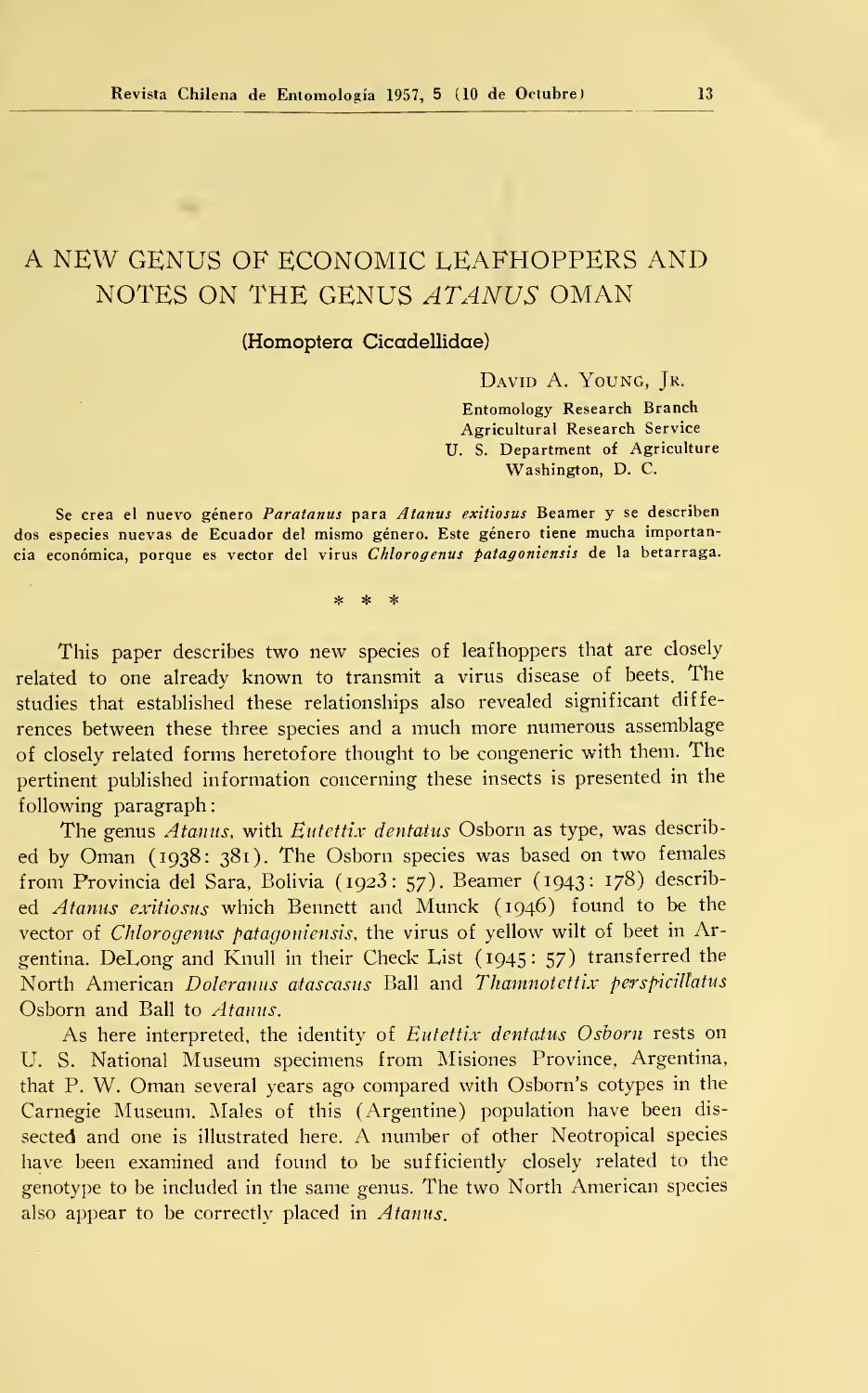# A NEW GENUS OF ECONOMIC LEAFHOPPERS AND NOTES ON THE GENUS ATANUS OMAN

## (Homoptera Cicadellidae)

DAVID A. YOUNG, JR.

Entomology Research Branch Agricultural Research Service U. S. Department of Agriculture Washington, D. C.

Se crea el nuevo género Paratanus para Atanus exitiosus Beamer y se describen dos especies nuevas de Ecuador del mismo género. Este género tiene mucha importancia económica, porque es vector del virus Chlorogenus patagoniensis de la betarraga.

\* \* \*

This paper describes two new species of leafhoppers that are closely related to one already known to transmit <sup>a</sup> virus disease of beets. The studies that established these relationships also revealed significant diffe rences between these three species and a much more numerous assemblage of closely related forms heretofore thought to be congeneric with them. The pertinent published information concerning these insects is presented in the following paragraph:

The genus *Atanus*, with *Eutettix dentatus* Osborn as type, was described by Oman (1938: 381). The Osborn species was based on two females from Provincia del Sara, Bolivia (1923: 57). Beamer (1943: 178) described Atanus exitiosus which Bennett and Munck (1946) found to be the vector of Chlorogenus patagoniensis, the virus of yellow wilt of beet in Argentina. DeLong and Knull in their Check List (1945: 57) transferred the North American Doleranus atascasus Ball and Thamnotettix perspicillatus Osborn and Ball to Atanus.

As here interpreted, the identity of Eutettix dentatus Osborn rests on U. S. National Museum specimens from Misiones Province, Argentina, that P. W. Ornan several years ago compared with Osborn's cotypes in the Carnegie Museum. Males of this (Argentine) population have been dis sected and one is illustrated here. A number of other Neotropical species have been examined and found to be sufficiently closely related to the genotype to be included in the same genus. The two North American species also appear to be correctly placed in Atanus.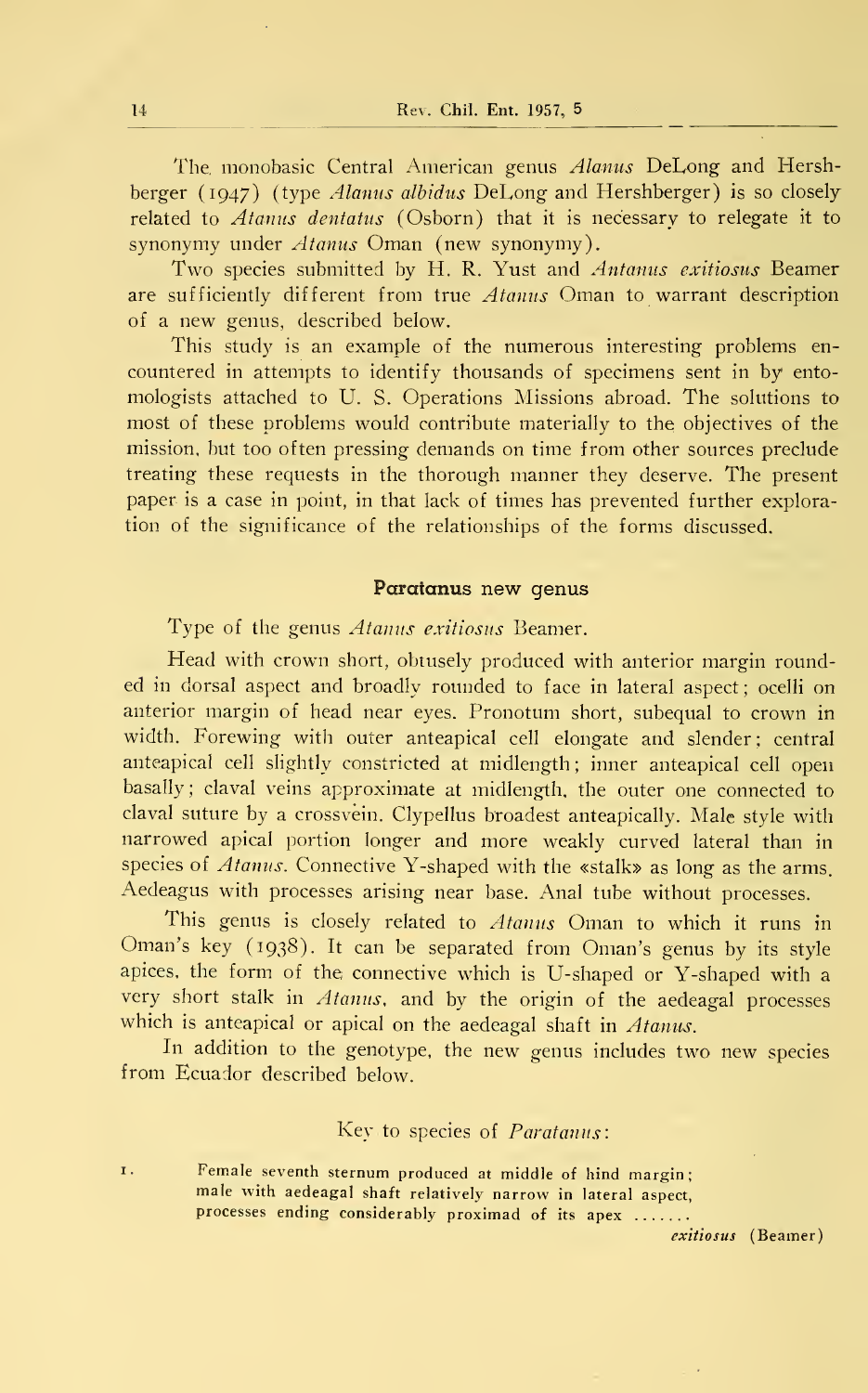The monobasic Central American genus Alanus DeLong and Hershberger (1947) (type Alanus albidus DeLong and Hershberger) is so closely related to Atanus dentatus (Osborn) that it is necessary to relegate it to synonymy under  $Atanus$  Oman (new synonymy).

Two species submitted by H. R. Yust and Antanus exitiosus Beamer are sufficiently different from true  $Atanus$  Oman to warrant description of a new genus, described below.

This study is an example of the numerous interesting problems en countered in attempts to identify thousands of specimens sent in by ento mologists attached to U. S. Operations Missions abroad. The solutions to most of these problems would contribute materially to the objectives of the mission, but too often pressing demands on time from other sources preclude treating these requests in the thorough manner they deserve. The present paper is a case in point, in that lack of times has prevented further exploration of the significance of the relationships of the forms discussed.

### Paratanus new genus

Type of the genus *Atanus exitiosus* Beamer.

Head with crown short, obtusely produced with anterior margin rounded in dorsal aspect and broadly rounded to face in lateral aspect; ocelli on anterior margin of head near eyes. Pronotum short, subequal to crown in width. Forewing with outer anteapical cell elongate and slender: central anteapical cell slightly constricted at midlength; inner anteapical cell open basally; claval veins approximate at midlength, the outer one connected to claval suture by a crossvéin. Clypellus broadest anteapically. Male style with narrowed apical portion longer and more weakly curved lateral than in species of Atanus. Connective Y-shaped with the «stalk» as long as the arms. Aedeagus with processes arising near base. Anal tube without processes.

This genus is closely related to Atanus Oman to which it runs in Oman's key (1938). It can be separated from Oman's genus by its style apices, the form of the connective which is U-shaped or Y-shaped with a very short stalk in Atanus, and by the origin of the aedeagal processes which is anteapical or apical on the aedeagal shaft in Atanus.

In addition to the genotype, the new genus includes two new species from Ecuador described below.

# Key to species of Paratanus:

1. Female seventh sternum produced at middle of hind margin; male with aedeagal shaft relatively narrow in lateral aspect, processes ending considerably proximad of its apex .......

exitiosus (Beamer)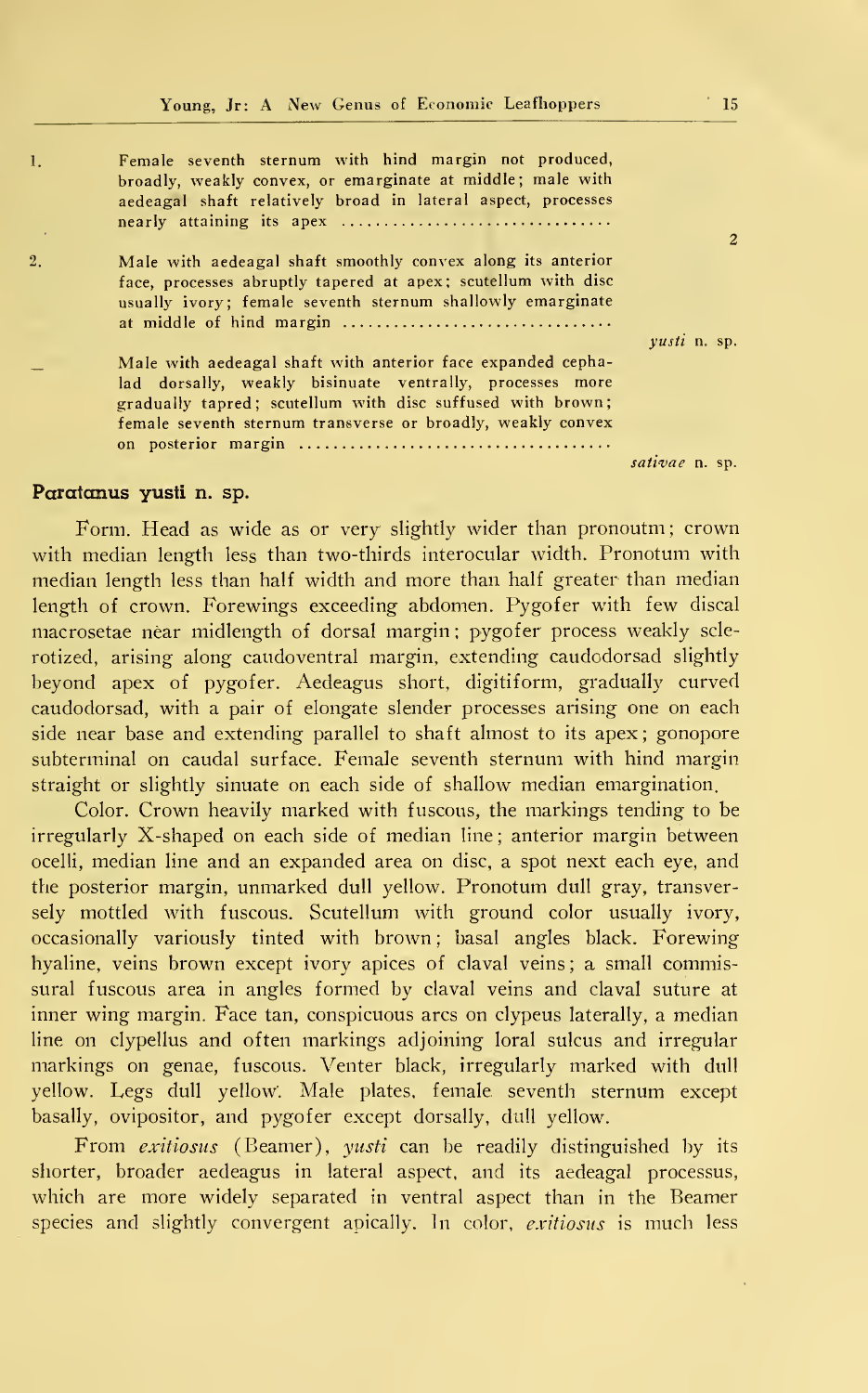| 1.               | Female seventh sternum with hind margin not produced,<br>broadly, weakly convex, or emarginate at middle; male with<br>aedeagal shaft relatively broad in lateral aspect, processes                                                                  | $\overline{c}$      |
|------------------|------------------------------------------------------------------------------------------------------------------------------------------------------------------------------------------------------------------------------------------------------|---------------------|
| $\overline{2}$ . | Male with aedeagal shaft smoothly convex along its anterior<br>face, processes abruptly tapered at apex; scutellum with disc<br>usually ivory; female seventh sternum shallowly emarginate                                                           | <i>vusti</i> n. sp. |
|                  | Male with aedeagal shaft with anterior face expanded cepha-<br>lad dorsally, weakly bisinuate ventrally, processes more<br>gradually tapred; scutellum with disc suffused with brown;<br>female seventh sternum transverse or broadly, weakly convex |                     |
|                  |                                                                                                                                                                                                                                                      | sativae n. sp.      |

# Paratanus yusti n. sp.

Form. Head as wide as or very slightly wider than pronoutm ; crown with median length less than two-thirds interocular width. Pronotum with median length less than half width and more than half greater than median length of crown. Forewings exceeding abdomen. Pygofer with few discal macrosetae néar midlength of dorsal margin ; pygofer process weakly scle rotized, arising along caudoventral margin, extending caudodorsad slightly beyond apex of pygofer. Aedeagus short, digitiform, gradually curved caudodorsad, with a pair of elongate slender processes arising one on each side near base and extending parallel to shaft almost to its apex ; gonopore subterminal on caudal surface. Female seventh sternum with hind margin straight or slightly sinuate on each side of shallow median emargination.

Color. Crown heavily marked with fuscous, the markings tending to be irregularly X-shaped on each side of median line ; anterior margin between ocelli, median line and an expanded área on disc, a spot next each eye, and the posterior margin, unmarked dull yellow. Pronotum dull gray, transversely mottled with fuscous. Scutellum with ground color usually ivory, occasionally variously tinted with brown ; basal angles black. Forewing hyaline, veins brown except ivory apices of claval veins; a small commissural fuscous area in angles formed by claval veins and claval suture at inner wing margin. Face tan, conspicuous ares on clypeus laterally, a median line on clypellus and often markings adjoining loral sulcus and irregular markings on genae, fuscous. Venter black, irregularly marked with dull yellow. Legs dull yellow'. Male plates, female seventh sternum except basally, ovipositor, and pygofer except dorsally, dull yellow.

From *exitiosus* (Beamer), *yusti* can be readily distinguished by its shorter, broader aedeagus in lateral aspect, and its aedeagal processus, which are more widely separated in ventral aspect than in the Beamer species and slightly convergent apically. In color, exitiosus is much less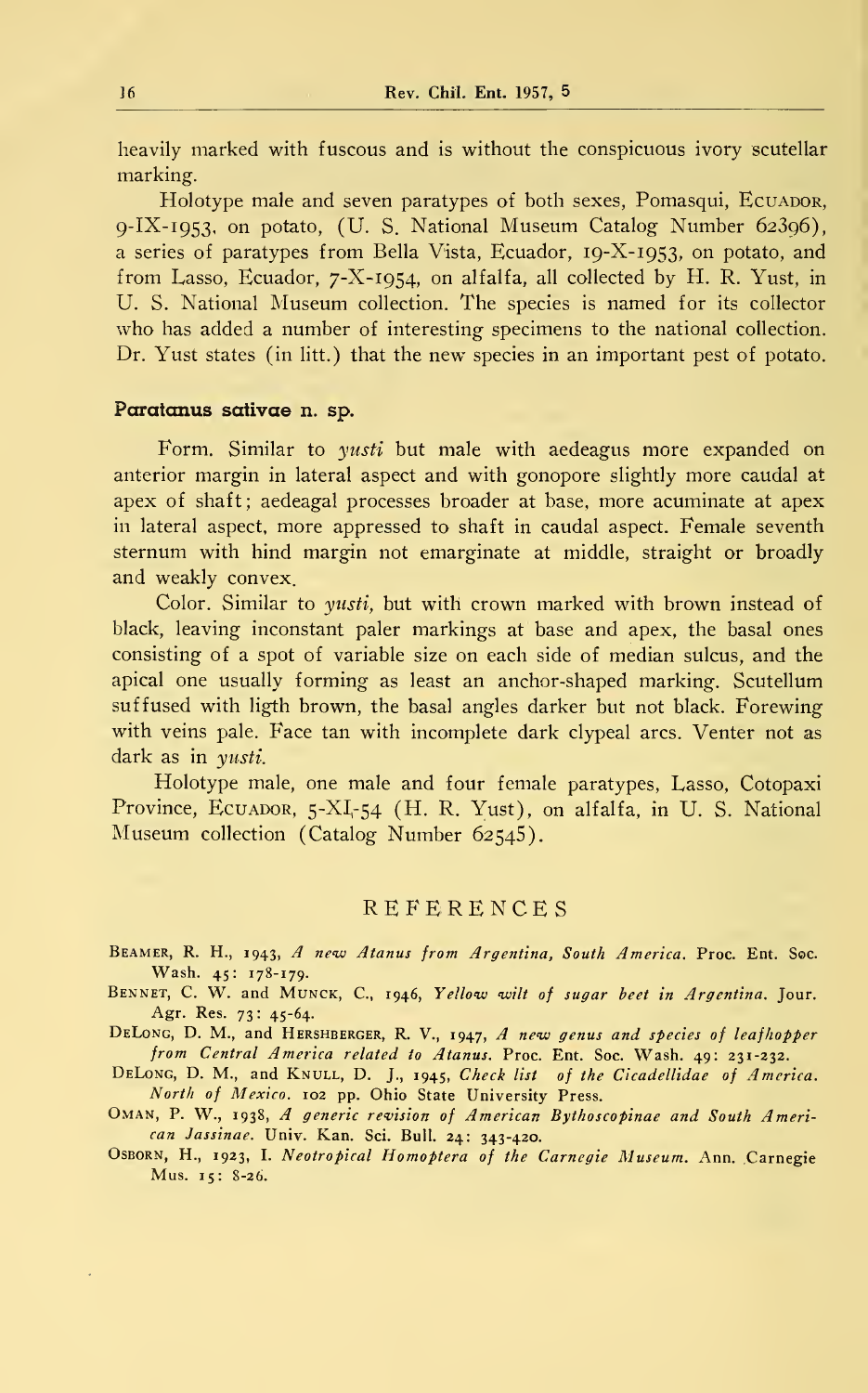heavily marked with fuscous and is without the conspicuous ivory scutellar marking.

Holotype male and seven paratypes of both sexes, Pomasqui, ECUADOR, 9-IX-1953, on potato, (U. S. National Museum Catalog Number 62396), a series of paratypes from Bella Vista, Ecuador, 19-X-1953, on potato, and from Lasso, Ecuador, 7-X-1954, on alfalfa, all collected by H. R. Yust, in U. S. National Museum collection. The species is named for its collector who has added a number of interesting specimens to the national collection. Dr. Yust states (in litt.) that the new species in an important pest of potato.

#### Paratanus sativae n. sp.

Form. Similar to *yusti* but male with aedeagus more expanded on anterior margin in lateral aspect and with gonopore slightly more caudal at apex of shaf<sup>t</sup> ; aedeagal processes broader at base, more acuminate at apex in lateral aspect, more appressed to shaft in caudal aspect. Female seventh sternum with hind margin not emarginate at middle, straight or broadly and weakly convex.

Color. Similar to *yusti*, but with crown marked with brown instead of black, leaving inconstant paler markings at base and apex, the basal ones consisting of a spot of variable size on each side of median sulcus, and the apical one usually forming as least an anchor-shaped marking. Scutellum suffused with ligth brown, the basal angles darker but not black. Forewing with veins pale. Face tan with incomplete dark clypeal arcs. Venter not as dark as in yusti.

Holotype male, one male and four female paratypes, Lasso, Cotopaxi Province, ECUADOR, 5-XI-54 (H. R. Yust), on alfalfa, in U. S. National Museum collection (Catalog Number 62545).

### **REFERENCES**

Beamer, R. H., 1943, A new Atanus from Argentina, South America. Proc. Ent. Soc. Wash. 45: 178-179.

BENNET, C. W. and MUNCK, C., 1946, Yellow wilt of sugar beet in Argentina. Jour. Agr. Res. 73: 45-64.

DELONG, D. M., and HERSHBERGER, R. V., 1947, A new genus and species of leafhopper from Central America related to Atanus. Proc. Ent. Soc. Wash. 49: 231-232.

DELONG, D. M., and KNULL, D. J., 1945, Check list of the Cicadellidae of America. North of Mexico. 102 pp. Ohio State University Press.

- OMAN, P. W., 1938, A generic revision of American Bythoscopinae and South American Jassinae. Univ. Kan. Sci. Bull. 24: 343-420.
- OSBORN, H., 1923, I. Neotropical Homoptera of the Carnegie Museum. Ann. Carnegie Mus. 15: 8-26.